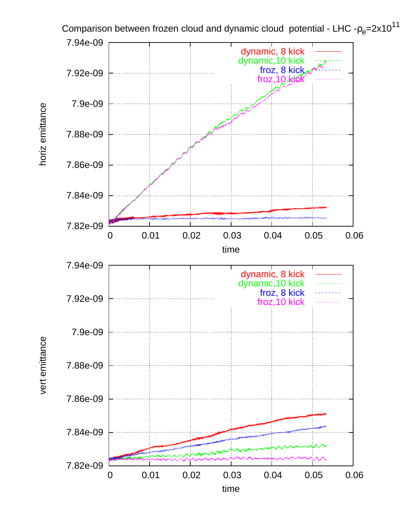

horiz emittance horiz emittance

vert emittance vert emittance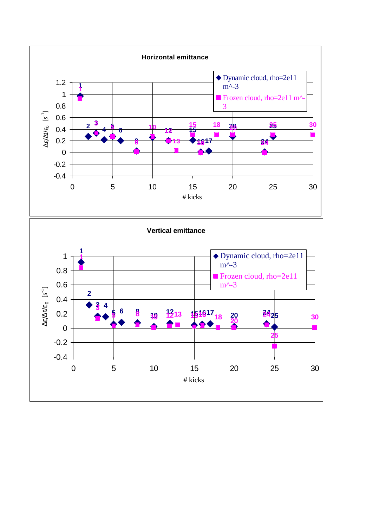